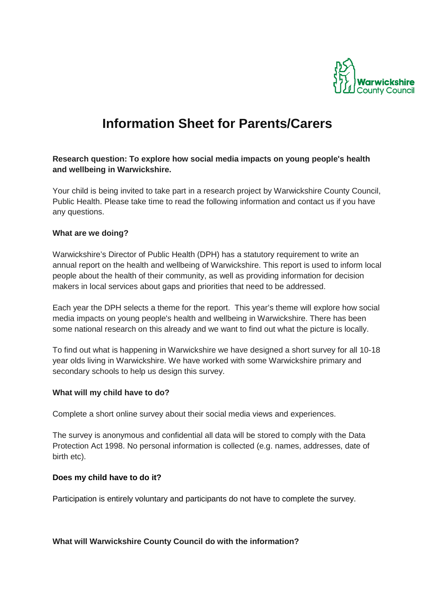

# **Information Sheet for Parents/Carers**

## **Research question: To explore how social media impacts on young people's health and wellbeing in Warwickshire.**

Your child is being invited to take part in a research project by Warwickshire County Council, Public Health. Please take time to read the following information and contact us if you have any questions.

#### **What are we doing?**

Warwickshire's Director of Public Health (DPH) has a statutory requirement to write an annual report on the health and wellbeing of Warwickshire. This report is used to inform local people about the health of their community, as well as providing information for decision makers in local services about gaps and priorities that need to be addressed.

Each year the DPH selects a theme for the report. This year's theme will explore how social media impacts on young people's health and wellbeing in Warwickshire. There has been some national research on this already and we want to find out what the picture is locally.

To find out what is happening in Warwickshire we have designed a short survey for all 10-18 year olds living in Warwickshire. We have worked with some Warwickshire primary and secondary schools to help us design this survey.

#### **What will my child have to do?**

Complete a short online survey about their social media views and experiences.

The survey is anonymous and confidential all data will be stored to comply with the Data Protection Act 1998. No personal information is collected (e.g. names, addresses, date of birth etc).

#### **Does my child have to do it?**

Participation is entirely voluntary and participants do not have to complete the survey.

#### **What will Warwickshire County Council do with the information?**